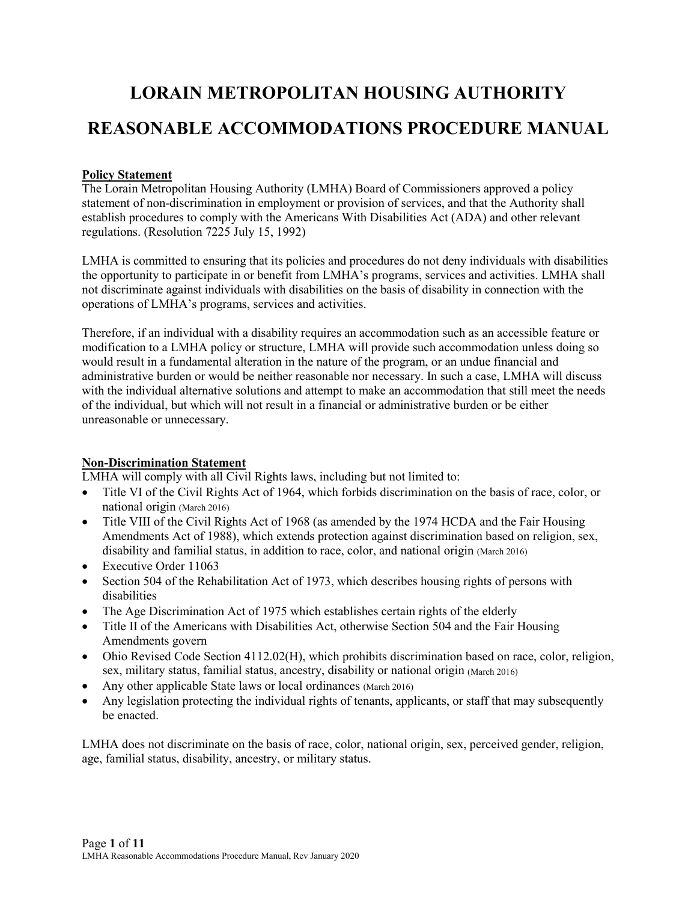# **LORAIN METROPOLITAN HOUSING AUTHORITY REASONABLE ACCOMMODATIONS PROCEDURE MANUAL**

## **Policy Statement**

The Lorain Metropolitan Housing Authority (LMHA) Board of Commissioners approved a policy statement of non-discrimination in employment or provision of services, and that the Authority shall establish procedures to comply with the Americans With Disabilities Act (ADA) and other relevant regulations. (Resolution 7225 July 15, 1992)

LMHA is committed to ensuring that its policies and procedures do not deny individuals with disabilities the opportunity to participate in or benefit from LMHA's programs, services and activities. LMHA shall not discriminate against individuals with disabilities on the basis of disability in connection with the operations of LMHA's programs, services and activities.

Therefore, if an individual with a disability requires an accommodation such as an accessible feature or modification to a LMHA policy or structure, LMHA will provide such accommodation unless doing so would result in a fundamental alteration in the nature of the program, or an undue financial and administrative burden or would be neither reasonable nor necessary. In such a case, LMHA will discuss with the individual alternative solutions and attempt to make an accommodation that still meet the needs of the individual, but which will not result in a financial or administrative burden or be either unreasonable or unnecessary.

## **Non-Discrimination Statement**

LMHA will comply with all Civil Rights laws, including but not limited to:

- Title VI of the Civil Rights Act of 1964, which forbids discrimination on the basis of race, color, or national origin (March 2016)
- Title VIII of the Civil Rights Act of 1968 (as amended by the 1974 HCDA and the Fair Housing Amendments Act of 1988), which extends protection against discrimination based on religion, sex, disability and familial status, in addition to race, color, and national origin (March 2016)
- Executive Order 11063
- Section 504 of the Rehabilitation Act of 1973, which describes housing rights of persons with disabilities
- The Age Discrimination Act of 1975 which establishes certain rights of the elderly
- Title II of the Americans with Disabilities Act, otherwise Section 504 and the Fair Housing Amendments govern
- Ohio Revised Code Section 4112.02(H), which prohibits discrimination based on race, color, religion, sex, military status, familial status, ancestry, disability or national origin (March 2016)
- Any other applicable State laws or local ordinances (March 2016)
- Any legislation protecting the individual rights of tenants, applicants, or staff that may subsequently be enacted.

LMHA does not discriminate on the basis of race, color, national origin, sex, perceived gender, religion, age, familial status, disability, ancestry, or military status.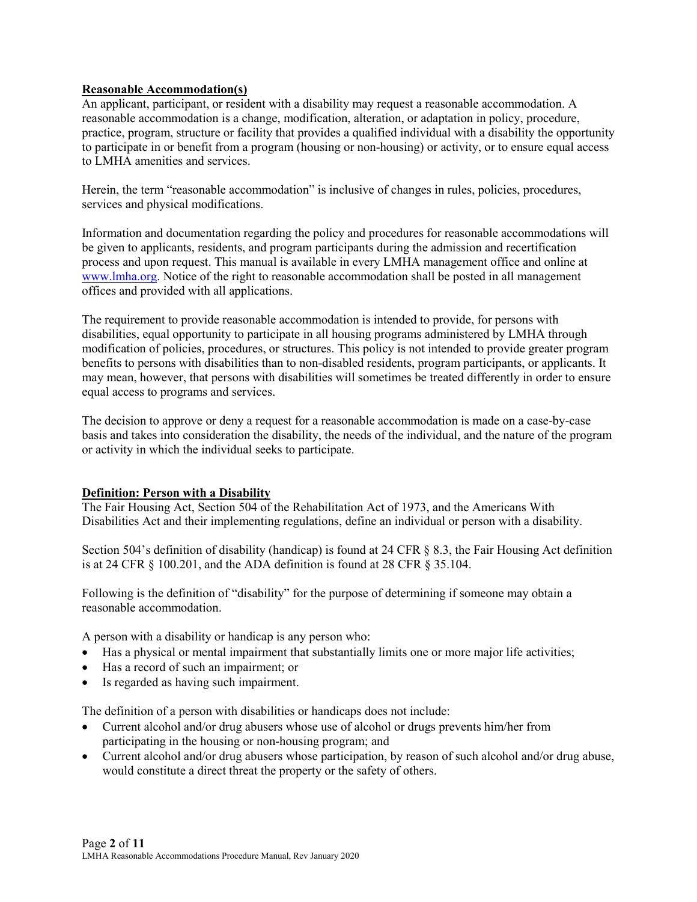## **Reasonable Accommodation(s)**

An applicant, participant, or resident with a disability may request a reasonable accommodation. A reasonable accommodation is a change, modification, alteration, or adaptation in policy, procedure, practice, program, structure or facility that provides a qualified individual with a disability the opportunity to participate in or benefit from a program (housing or non-housing) or activity, or to ensure equal access to LMHA amenities and services.

Herein, the term "reasonable accommodation" is inclusive of changes in rules, policies, procedures, services and physical modifications.

Information and documentation regarding the policy and procedures for reasonable accommodations will be given to applicants, residents, and program participants during the admission and recertification process and upon request. This manual is available in every LMHA management office and online at www.lmha.org. Notice of the right to reasonable accommodation shall be posted in all management offices and provided with all applications.

The requirement to provide reasonable accommodation is intended to provide, for persons with disabilities, equal opportunity to participate in all housing programs administered by LMHA through modification of policies, procedures, or structures. This policy is not intended to provide greater program benefits to persons with disabilities than to non-disabled residents, program participants, or applicants. It may mean, however, that persons with disabilities will sometimes be treated differently in order to ensure equal access to programs and services.

The decision to approve or deny a request for a reasonable accommodation is made on a case-by-case basis and takes into consideration the disability, the needs of the individual, and the nature of the program or activity in which the individual seeks to participate.

## **Definition: Person with a Disability**

The Fair Housing Act, Section 504 of the Rehabilitation Act of 1973, and the Americans With Disabilities Act and their implementing regulations, define an individual or person with a disability.

Section 504's definition of disability (handicap) is found at 24 CFR § 8.3, the Fair Housing Act definition is at 24 CFR § 100.201, and the ADA definition is found at 28 CFR § 35.104.

Following is the definition of "disability" for the purpose of determining if someone may obtain a reasonable accommodation.

A person with a disability or handicap is any person who:

- Has a physical or mental impairment that substantially limits one or more major life activities;
- Has a record of such an impairment; or
- Is regarded as having such impairment.

The definition of a person with disabilities or handicaps does not include:

- Current alcohol and/or drug abusers whose use of alcohol or drugs prevents him/her from participating in the housing or non-housing program; and
- Current alcohol and/or drug abusers whose participation, by reason of such alcohol and/or drug abuse, would constitute a direct threat the property or the safety of others.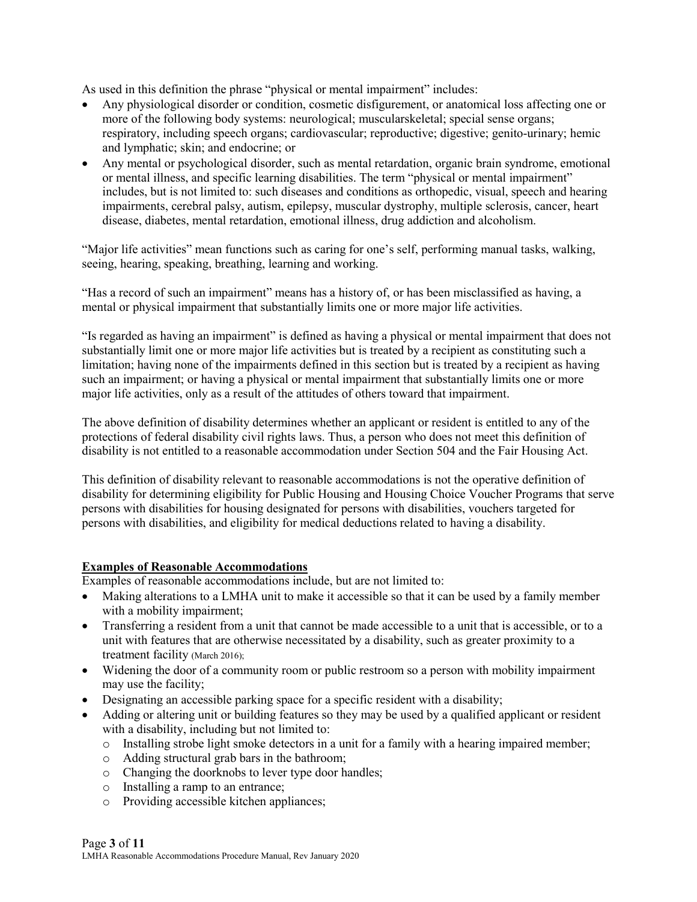As used in this definition the phrase "physical or mental impairment" includes:

- Any physiological disorder or condition, cosmetic disfigurement, or anatomical loss affecting one or more of the following body systems: neurological; muscularskeletal; special sense organs; respiratory, including speech organs; cardiovascular; reproductive; digestive; genito-urinary; hemic and lymphatic; skin; and endocrine; or
- Any mental or psychological disorder, such as mental retardation, organic brain syndrome, emotional or mental illness, and specific learning disabilities. The term "physical or mental impairment" includes, but is not limited to: such diseases and conditions as orthopedic, visual, speech and hearing impairments, cerebral palsy, autism, epilepsy, muscular dystrophy, multiple sclerosis, cancer, heart disease, diabetes, mental retardation, emotional illness, drug addiction and alcoholism.

"Major life activities" mean functions such as caring for one's self, performing manual tasks, walking, seeing, hearing, speaking, breathing, learning and working.

"Has a record of such an impairment" means has a history of, or has been misclassified as having, a mental or physical impairment that substantially limits one or more major life activities.

"Is regarded as having an impairment" is defined as having a physical or mental impairment that does not substantially limit one or more major life activities but is treated by a recipient as constituting such a limitation; having none of the impairments defined in this section but is treated by a recipient as having such an impairment; or having a physical or mental impairment that substantially limits one or more major life activities, only as a result of the attitudes of others toward that impairment.

The above definition of disability determines whether an applicant or resident is entitled to any of the protections of federal disability civil rights laws. Thus, a person who does not meet this definition of disability is not entitled to a reasonable accommodation under Section 504 and the Fair Housing Act.

This definition of disability relevant to reasonable accommodations is not the operative definition of disability for determining eligibility for Public Housing and Housing Choice Voucher Programs that serve persons with disabilities for housing designated for persons with disabilities, vouchers targeted for persons with disabilities, and eligibility for medical deductions related to having a disability.

## **Examples of Reasonable Accommodations**

Examples of reasonable accommodations include, but are not limited to:

- Making alterations to a LMHA unit to make it accessible so that it can be used by a family member with a mobility impairment;
- Transferring a resident from a unit that cannot be made accessible to a unit that is accessible, or to a unit with features that are otherwise necessitated by a disability, such as greater proximity to a treatment facility (March 2016);
- Widening the door of a community room or public restroom so a person with mobility impairment may use the facility;
- Designating an accessible parking space for a specific resident with a disability;
- Adding or altering unit or building features so they may be used by a qualified applicant or resident with a disability, including but not limited to:
	- o Installing strobe light smoke detectors in a unit for a family with a hearing impaired member;
	- o Adding structural grab bars in the bathroom;
	- o Changing the doorknobs to lever type door handles;
	- o Installing a ramp to an entrance;
	- o Providing accessible kitchen appliances;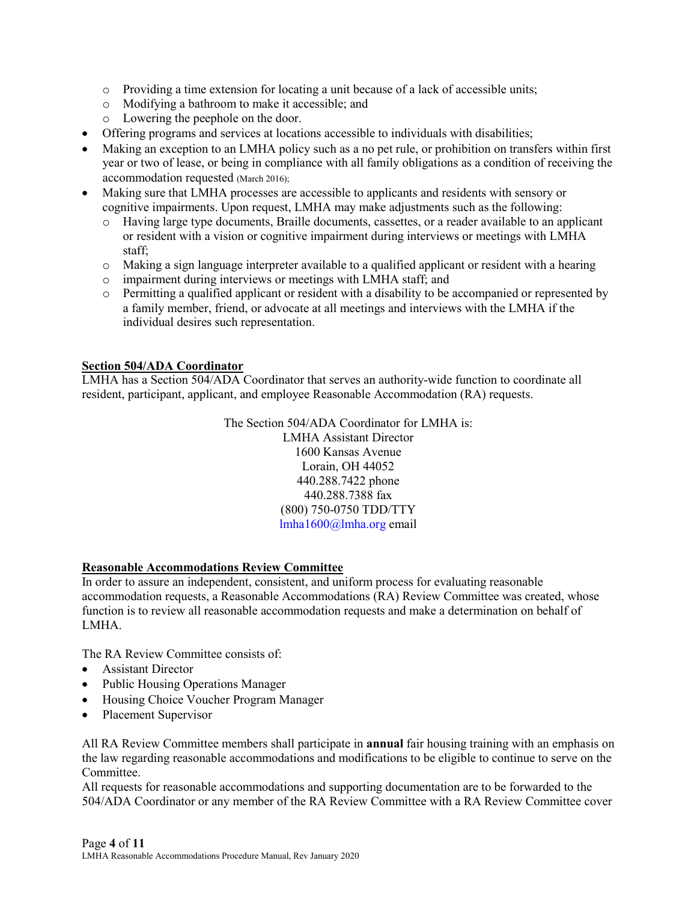- $\circ$  Providing a time extension for locating a unit because of a lack of accessible units;
- o Modifying a bathroom to make it accessible; and
- o Lowering the peephole on the door.
- Offering programs and services at locations accessible to individuals with disabilities;
- Making an exception to an LMHA policy such as a no pet rule, or prohibition on transfers within first year or two of lease, or being in compliance with all family obligations as a condition of receiving the accommodation requested (March 2016);
- Making sure that LMHA processes are accessible to applicants and residents with sensory or cognitive impairments. Upon request, LMHA may make adjustments such as the following:
	- o Having large type documents, Braille documents, cassettes, or a reader available to an applicant or resident with a vision or cognitive impairment during interviews or meetings with LMHA staff;
	- o Making a sign language interpreter available to a qualified applicant or resident with a hearing
	- o impairment during interviews or meetings with LMHA staff; and
	- o Permitting a qualified applicant or resident with a disability to be accompanied or represented by a family member, friend, or advocate at all meetings and interviews with the LMHA if the individual desires such representation.

#### **Section 504/ADA Coordinator**

LMHA has a Section 504/ADA Coordinator that serves an authority-wide function to coordinate all resident, participant, applicant, and employee Reasonable Accommodation (RA) requests.

> The Section 504/ADA Coordinator for LMHA is: LMHA Assistant Director 1600 Kansas Avenue Lorain, OH 44052 440.288.7422 phone 440.288.7388 fax (800) 750-0750 TDD/TTY lmha1600@lmha.org email

## **Reasonable Accommodations Review Committee**

In order to assure an independent, consistent, and uniform process for evaluating reasonable accommodation requests, a Reasonable Accommodations (RA) Review Committee was created, whose function is to review all reasonable accommodation requests and make a determination on behalf of LMHA.

The RA Review Committee consists of:

- Assistant Director
- Public Housing Operations Manager
- Housing Choice Voucher Program Manager
- Placement Supervisor

All RA Review Committee members shall participate in **annual** fair housing training with an emphasis on the law regarding reasonable accommodations and modifications to be eligible to continue to serve on the Committee.

All requests for reasonable accommodations and supporting documentation are to be forwarded to the 504/ADA Coordinator or any member of the RA Review Committee with a RA Review Committee cover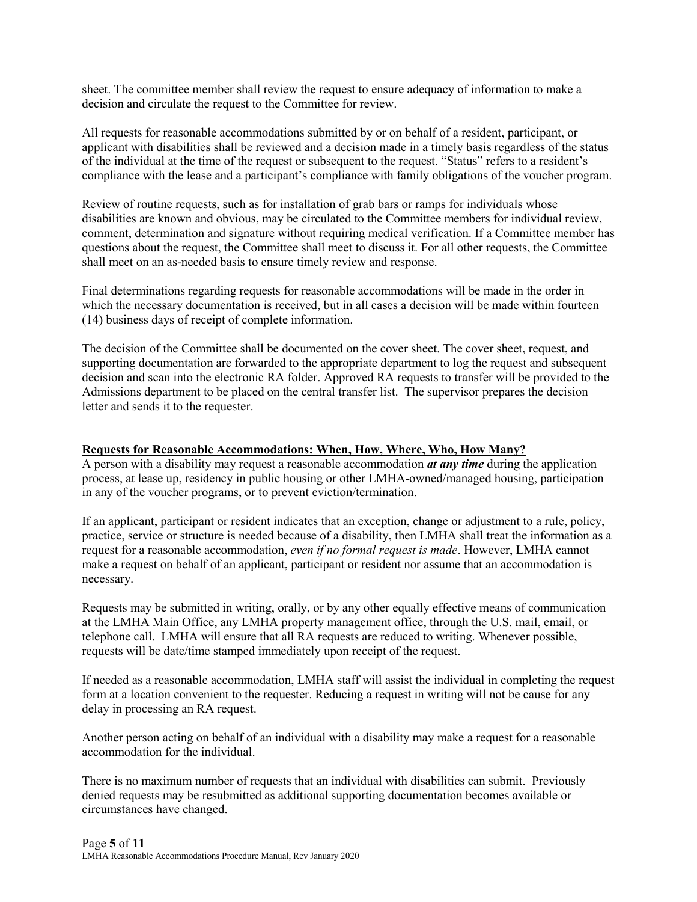sheet. The committee member shall review the request to ensure adequacy of information to make a decision and circulate the request to the Committee for review.

All requests for reasonable accommodations submitted by or on behalf of a resident, participant, or applicant with disabilities shall be reviewed and a decision made in a timely basis regardless of the status of the individual at the time of the request or subsequent to the request. "Status" refers to a resident's compliance with the lease and a participant's compliance with family obligations of the voucher program.

Review of routine requests, such as for installation of grab bars or ramps for individuals whose disabilities are known and obvious, may be circulated to the Committee members for individual review, comment, determination and signature without requiring medical verification. If a Committee member has questions about the request, the Committee shall meet to discuss it. For all other requests, the Committee shall meet on an as-needed basis to ensure timely review and response.

Final determinations regarding requests for reasonable accommodations will be made in the order in which the necessary documentation is received, but in all cases a decision will be made within fourteen (14) business days of receipt of complete information.

The decision of the Committee shall be documented on the cover sheet. The cover sheet, request, and supporting documentation are forwarded to the appropriate department to log the request and subsequent decision and scan into the electronic RA folder. Approved RA requests to transfer will be provided to the Admissions department to be placed on the central transfer list. The supervisor prepares the decision letter and sends it to the requester.

## **Requests for Reasonable Accommodations: When, How, Where, Who, How Many?**

A person with a disability may request a reasonable accommodation *at any time* during the application process, at lease up, residency in public housing or other LMHA-owned/managed housing, participation in any of the voucher programs, or to prevent eviction/termination.

If an applicant, participant or resident indicates that an exception, change or adjustment to a rule, policy, practice, service or structure is needed because of a disability, then LMHA shall treat the information as a request for a reasonable accommodation, *even if no formal request is made*. However, LMHA cannot make a request on behalf of an applicant, participant or resident nor assume that an accommodation is necessary.

Requests may be submitted in writing, orally, or by any other equally effective means of communication at the LMHA Main Office, any LMHA property management office, through the U.S. mail, email, or telephone call. LMHA will ensure that all RA requests are reduced to writing. Whenever possible, requests will be date/time stamped immediately upon receipt of the request.

If needed as a reasonable accommodation, LMHA staff will assist the individual in completing the request form at a location convenient to the requester. Reducing a request in writing will not be cause for any delay in processing an RA request.

Another person acting on behalf of an individual with a disability may make a request for a reasonable accommodation for the individual.

There is no maximum number of requests that an individual with disabilities can submit. Previously denied requests may be resubmitted as additional supporting documentation becomes available or circumstances have changed.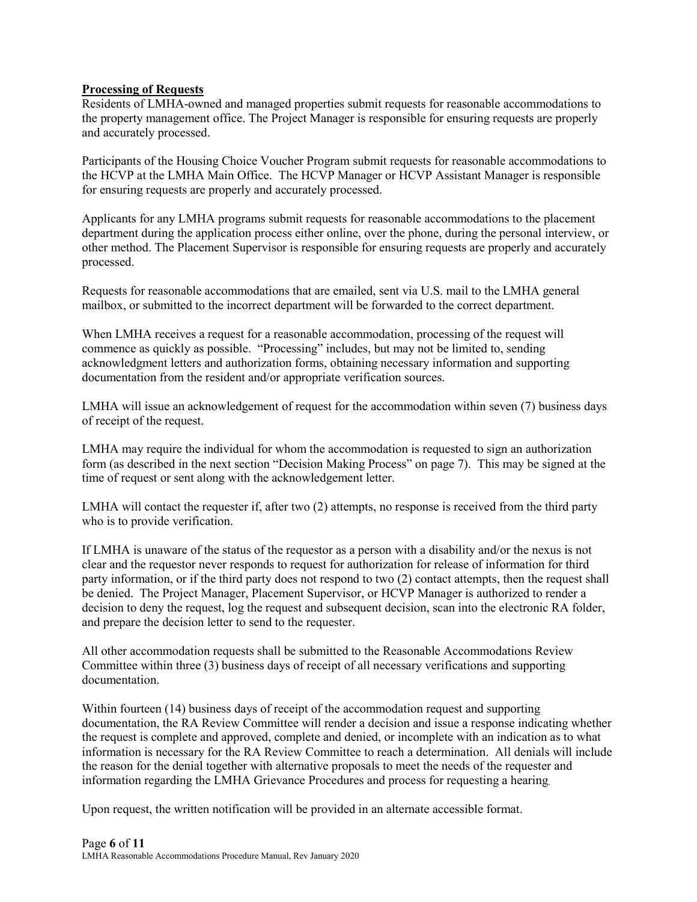#### **Processing of Requests**

Residents of LMHA-owned and managed properties submit requests for reasonable accommodations to the property management office. The Project Manager is responsible for ensuring requests are properly and accurately processed.

Participants of the Housing Choice Voucher Program submit requests for reasonable accommodations to the HCVP at the LMHA Main Office. The HCVP Manager or HCVP Assistant Manager is responsible for ensuring requests are properly and accurately processed.

Applicants for any LMHA programs submit requests for reasonable accommodations to the placement department during the application process either online, over the phone, during the personal interview, or other method. The Placement Supervisor is responsible for ensuring requests are properly and accurately processed.

Requests for reasonable accommodations that are emailed, sent via U.S. mail to the LMHA general mailbox, or submitted to the incorrect department will be forwarded to the correct department.

When LMHA receives a request for a reasonable accommodation, processing of the request will commence as quickly as possible. "Processing" includes, but may not be limited to, sending acknowledgment letters and authorization forms, obtaining necessary information and supporting documentation from the resident and/or appropriate verification sources.

LMHA will issue an acknowledgement of request for the accommodation within seven (7) business days of receipt of the request.

LMHA may require the individual for whom the accommodation is requested to sign an authorization form (as described in the next section "Decision Making Process" on page 7). This may be signed at the time of request or sent along with the acknowledgement letter.

LMHA will contact the requester if, after two (2) attempts, no response is received from the third party who is to provide verification.

If LMHA is unaware of the status of the requestor as a person with a disability and/or the nexus is not clear and the requestor never responds to request for authorization for release of information for third party information, or if the third party does not respond to two (2) contact attempts, then the request shall be denied. The Project Manager, Placement Supervisor, or HCVP Manager is authorized to render a decision to deny the request, log the request and subsequent decision, scan into the electronic RA folder, and prepare the decision letter to send to the requester.

All other accommodation requests shall be submitted to the Reasonable Accommodations Review Committee within three (3) business days of receipt of all necessary verifications and supporting documentation.

Within fourteen (14) business days of receipt of the accommodation request and supporting documentation, the RA Review Committee will render a decision and issue a response indicating whether the request is complete and approved, complete and denied, or incomplete with an indication as to what information is necessary for the RA Review Committee to reach a determination. All denials will include the reason for the denial together with alternative proposals to meet the needs of the requester and information regarding the LMHA Grievance Procedures and process for requesting a hearing.

Upon request, the written notification will be provided in an alternate accessible format.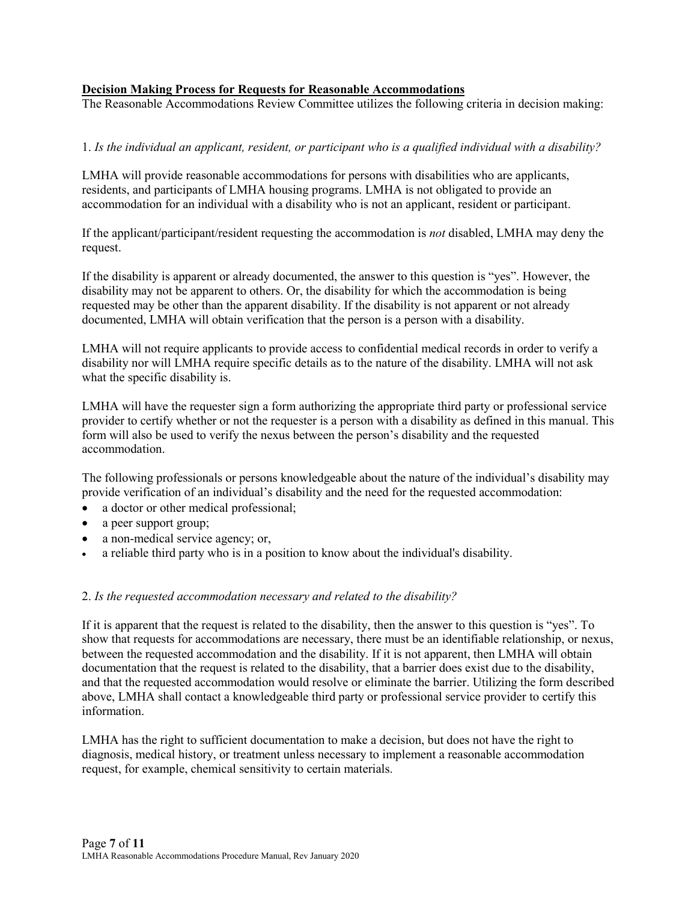## **Decision Making Process for Requests for Reasonable Accommodations**

The Reasonable Accommodations Review Committee utilizes the following criteria in decision making:

## 1. *Is the individual an applicant, resident, or participant who is a qualified individual with a disability?*

LMHA will provide reasonable accommodations for persons with disabilities who are applicants, residents, and participants of LMHA housing programs. LMHA is not obligated to provide an accommodation for an individual with a disability who is not an applicant, resident or participant.

If the applicant/participant/resident requesting the accommodation is *not* disabled, LMHA may deny the request.

If the disability is apparent or already documented, the answer to this question is "yes". However, the disability may not be apparent to others. Or, the disability for which the accommodation is being requested may be other than the apparent disability. If the disability is not apparent or not already documented, LMHA will obtain verification that the person is a person with a disability.

LMHA will not require applicants to provide access to confidential medical records in order to verify a disability nor will LMHA require specific details as to the nature of the disability. LMHA will not ask what the specific disability is.

LMHA will have the requester sign a form authorizing the appropriate third party or professional service provider to certify whether or not the requester is a person with a disability as defined in this manual. This form will also be used to verify the nexus between the person's disability and the requested accommodation.

The following professionals or persons knowledgeable about the nature of the individual's disability may provide verification of an individual's disability and the need for the requested accommodation:

- a doctor or other medical professional;
- a peer support group;
- a non-medical service agency; or,
- a reliable third party who is in a position to know about the individual's disability.

## 2. *Is the requested accommodation necessary and related to the disability?*

If it is apparent that the request is related to the disability, then the answer to this question is "yes". To show that requests for accommodations are necessary, there must be an identifiable relationship, or nexus, between the requested accommodation and the disability. If it is not apparent, then LMHA will obtain documentation that the request is related to the disability, that a barrier does exist due to the disability, and that the requested accommodation would resolve or eliminate the barrier. Utilizing the form described above, LMHA shall contact a knowledgeable third party or professional service provider to certify this information.

LMHA has the right to sufficient documentation to make a decision, but does not have the right to diagnosis, medical history, or treatment unless necessary to implement a reasonable accommodation request, for example, chemical sensitivity to certain materials.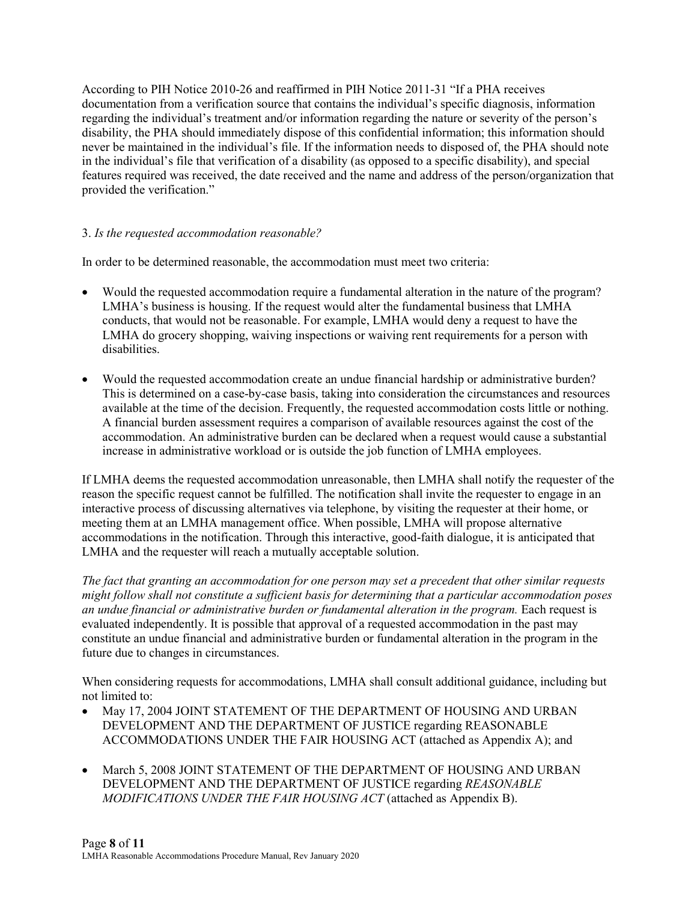According to PIH Notice 2010-26 and reaffirmed in PIH Notice 2011-31 "If a PHA receives documentation from a verification source that contains the individual's specific diagnosis, information regarding the individual's treatment and/or information regarding the nature or severity of the person's disability, the PHA should immediately dispose of this confidential information; this information should never be maintained in the individual's file. If the information needs to disposed of, the PHA should note in the individual's file that verification of a disability (as opposed to a specific disability), and special features required was received, the date received and the name and address of the person/organization that provided the verification."

## 3. *Is the requested accommodation reasonable?*

In order to be determined reasonable, the accommodation must meet two criteria:

- Would the requested accommodation require a fundamental alteration in the nature of the program? LMHA's business is housing. If the request would alter the fundamental business that LMHA conducts, that would not be reasonable. For example, LMHA would deny a request to have the LMHA do grocery shopping, waiving inspections or waiving rent requirements for a person with disabilities.
- Would the requested accommodation create an undue financial hardship or administrative burden? This is determined on a case-by-case basis, taking into consideration the circumstances and resources available at the time of the decision. Frequently, the requested accommodation costs little or nothing. A financial burden assessment requires a comparison of available resources against the cost of the accommodation. An administrative burden can be declared when a request would cause a substantial increase in administrative workload or is outside the job function of LMHA employees.

If LMHA deems the requested accommodation unreasonable, then LMHA shall notify the requester of the reason the specific request cannot be fulfilled. The notification shall invite the requester to engage in an interactive process of discussing alternatives via telephone, by visiting the requester at their home, or meeting them at an LMHA management office. When possible, LMHA will propose alternative accommodations in the notification. Through this interactive, good-faith dialogue, it is anticipated that LMHA and the requester will reach a mutually acceptable solution.

*The fact that granting an accommodation for one person may set a precedent that other similar requests might follow shall not constitute a sufficient basis for determining that a particular accommodation poses an undue financial or administrative burden or fundamental alteration in the program.* Each request is evaluated independently. It is possible that approval of a requested accommodation in the past may constitute an undue financial and administrative burden or fundamental alteration in the program in the future due to changes in circumstances.

When considering requests for accommodations, LMHA shall consult additional guidance, including but not limited to:

- May 17, 2004 JOINT STATEMENT OF THE DEPARTMENT OF HOUSING AND URBAN DEVELOPMENT AND THE DEPARTMENT OF JUSTICE regarding REASONABLE ACCOMMODATIONS UNDER THE FAIR HOUSING ACT (attached as Appendix A); and
- March 5, 2008 JOINT STATEMENT OF THE DEPARTMENT OF HOUSING AND URBAN DEVELOPMENT AND THE DEPARTMENT OF JUSTICE regarding *REASONABLE MODIFICATIONS UNDER THE FAIR HOUSING ACT* (attached as Appendix B).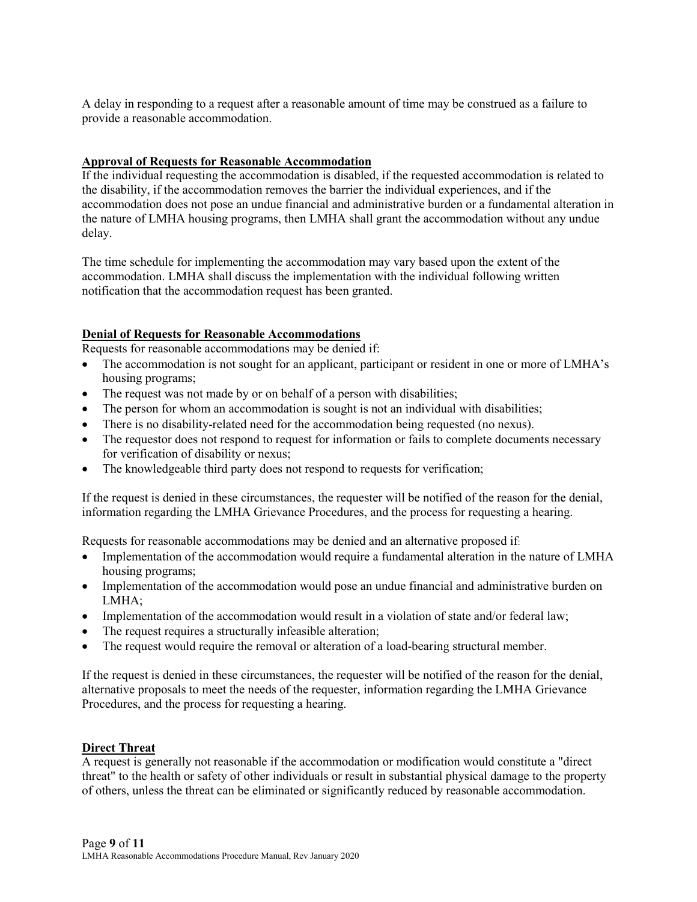A delay in responding to a request after a reasonable amount of time may be construed as a failure to provide a reasonable accommodation.

## **Approval of Requests for Reasonable Accommodation**

If the individual requesting the accommodation is disabled, if the requested accommodation is related to the disability, if the accommodation removes the barrier the individual experiences, and if the accommodation does not pose an undue financial and administrative burden or a fundamental alteration in the nature of LMHA housing programs, then LMHA shall grant the accommodation without any undue delay.

The time schedule for implementing the accommodation may vary based upon the extent of the accommodation. LMHA shall discuss the implementation with the individual following written notification that the accommodation request has been granted.

## **Denial of Requests for Reasonable Accommodations**

Requests for reasonable accommodations may be denied if:

- The accommodation is not sought for an applicant, participant or resident in one or more of LMHA's housing programs;
- The request was not made by or on behalf of a person with disabilities;
- The person for whom an accommodation is sought is not an individual with disabilities;
- There is no disability-related need for the accommodation being requested (no nexus).
- The requestor does not respond to request for information or fails to complete documents necessary for verification of disability or nexus;
- The knowledgeable third party does not respond to requests for verification;

If the request is denied in these circumstances, the requester will be notified of the reason for the denial, information regarding the LMHA Grievance Procedures, and the process for requesting a hearing.

Requests for reasonable accommodations may be denied and an alternative proposed if:

- Implementation of the accommodation would require a fundamental alteration in the nature of LMHA housing programs;
- Implementation of the accommodation would pose an undue financial and administrative burden on LMHA;
- Implementation of the accommodation would result in a violation of state and/or federal law;
- The request requires a structurally infeasible alteration;
- The request would require the removal or alteration of a load-bearing structural member.

If the request is denied in these circumstances, the requester will be notified of the reason for the denial, alternative proposals to meet the needs of the requester, information regarding the LMHA Grievance Procedures, and the process for requesting a hearing.

#### **Direct Threat**

A request is generally not reasonable if the accommodation or modification would constitute a "direct threat" to the health or safety of other individuals or result in substantial physical damage to the property of others, unless the threat can be eliminated or significantly reduced by reasonable accommodation.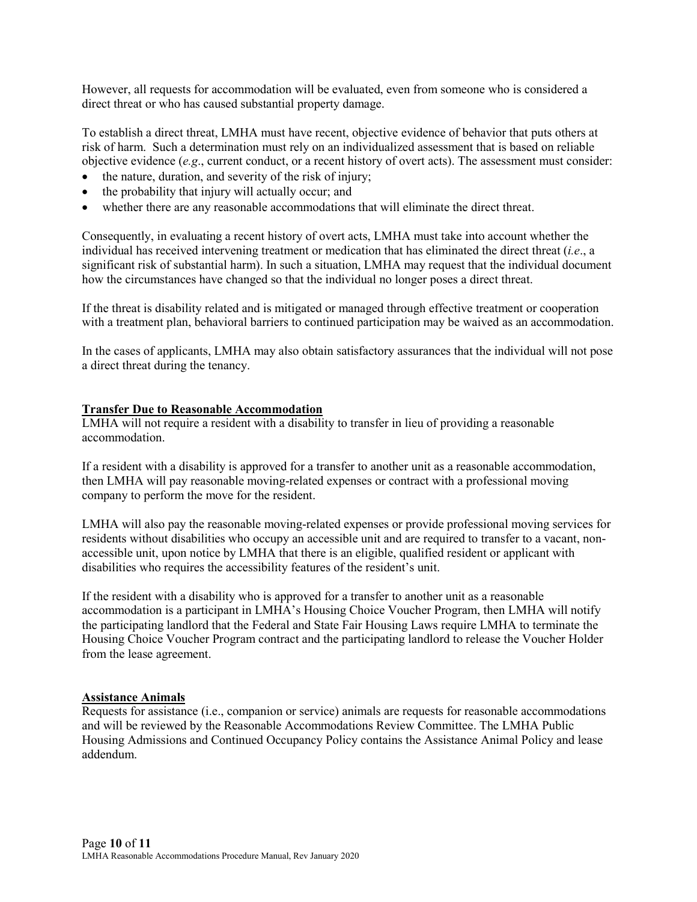However, all requests for accommodation will be evaluated, even from someone who is considered a direct threat or who has caused substantial property damage.

To establish a direct threat, LMHA must have recent, objective evidence of behavior that puts others at risk of harm. Such a determination must rely on an individualized assessment that is based on reliable objective evidence (*e.g*., current conduct, or a recent history of overt acts). The assessment must consider:

- the nature, duration, and severity of the risk of injury;
- the probability that injury will actually occur; and
- whether there are any reasonable accommodations that will eliminate the direct threat.

Consequently, in evaluating a recent history of overt acts, LMHA must take into account whether the individual has received intervening treatment or medication that has eliminated the direct threat (*i.e*., a significant risk of substantial harm). In such a situation, LMHA may request that the individual document how the circumstances have changed so that the individual no longer poses a direct threat.

If the threat is disability related and is mitigated or managed through effective treatment or cooperation with a treatment plan, behavioral barriers to continued participation may be waived as an accommodation.

In the cases of applicants, LMHA may also obtain satisfactory assurances that the individual will not pose a direct threat during the tenancy.

## **Transfer Due to Reasonable Accommodation**

LMHA will not require a resident with a disability to transfer in lieu of providing a reasonable accommodation.

If a resident with a disability is approved for a transfer to another unit as a reasonable accommodation, then LMHA will pay reasonable moving-related expenses or contract with a professional moving company to perform the move for the resident.

LMHA will also pay the reasonable moving-related expenses or provide professional moving services for residents without disabilities who occupy an accessible unit and are required to transfer to a vacant, nonaccessible unit, upon notice by LMHA that there is an eligible, qualified resident or applicant with disabilities who requires the accessibility features of the resident's unit.

If the resident with a disability who is approved for a transfer to another unit as a reasonable accommodation is a participant in LMHA's Housing Choice Voucher Program, then LMHA will notify the participating landlord that the Federal and State Fair Housing Laws require LMHA to terminate the Housing Choice Voucher Program contract and the participating landlord to release the Voucher Holder from the lease agreement.

## **Assistance Animals**

Requests for assistance (i.e., companion or service) animals are requests for reasonable accommodations and will be reviewed by the Reasonable Accommodations Review Committee. The LMHA Public Housing Admissions and Continued Occupancy Policy contains the Assistance Animal Policy and lease addendum.